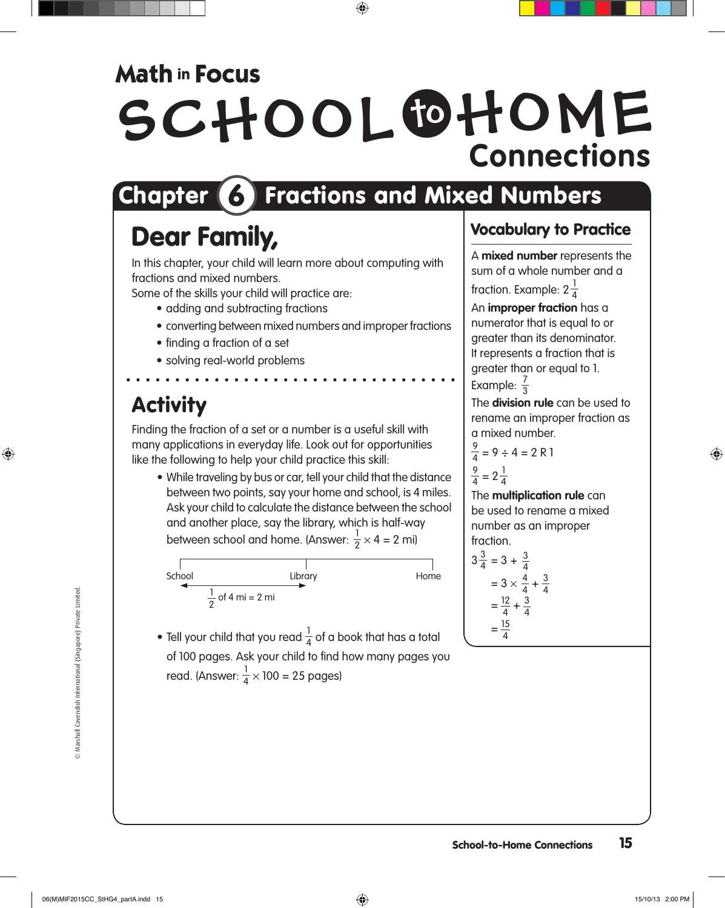### **Math in Focus**

# SCHOOL OHOME **Connections**

## Chapter 6 Fractions and Mixed Numbers

## Dear Family,

In this chapter, your child will learn more about computing with fractions and mixed numbers.

Some of the skills your child will practice are:

- adding and subtracting fractions
	- converting between mixed numbers and improper fractions
	- finding a fraction of a set
	- solving real-world problems

### **Activity**

Finding the fraction of a set or a number is a useful skill with many applications in everyday life. Look out for opportunities like the following to help your child practice this skill:

• While traveling by bus or car, tell your child that the distance between two points, say your home and school, is 4 miles. Ask your child to calculate the distance between the school and another place, say the library, which is half-way between school and home. (Answer:  $\frac{1}{2} \times 4 = 2$  mi)



 $\bullet$  Tell your child that you read  $\frac{1}{4}$  of a book that has a total of 100 pages. Ask your child to find how many pages you read. (Answer:  $\frac{1}{4} \times 100 = 25$  pages)

#### Vocabulary to Practice

A **mixed number** represents the sum of a whole number and a fraction. Example: 2 $\frac{1}{4}$ 

An **improper fraction** has a numerator that is equal to or greater than its denominator.

It represents a fraction that is greater than or equal to 1. Example:  $\frac{7}{3}$ 

The **division rule** can be used to rename an improper fraction as a mixed number.

$$
\frac{9}{4} = 9 \div 4 = 2 \text{ R 1}
$$
  

$$
\frac{9}{4} = 2\frac{1}{4}
$$

The **multiplication rule** can be used to rename a mixed number as an improper fraction.

$$
3\frac{3}{4} = 3 + \frac{3}{4}
$$
  
= 3 \times \frac{4}{4} + \frac{3}{4}  
= \frac{12}{4} + \frac{3}{4}  
= \frac{15}{4}